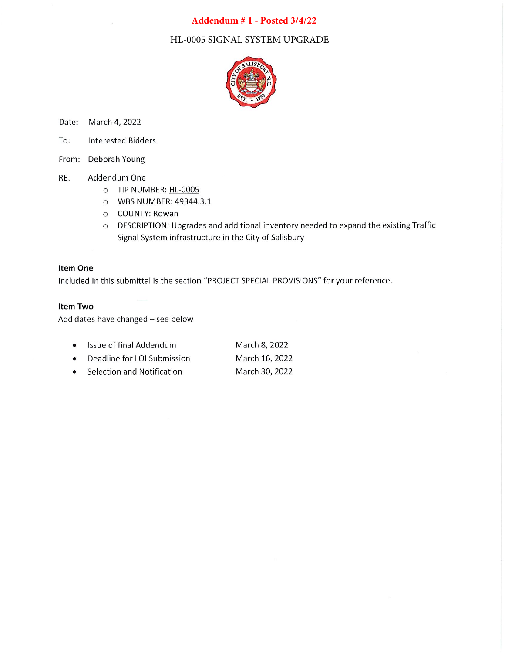### Addendum #1 - Posted 3/4/22

HL-0005 SIGNAL SYSTEM UPGRADE



Date: March 4, 2022

- To: **Interested Bidders**
- From: Deborah Young
- RE: Addendum One
	- O TIP NUMBER: HL-0005
	- O WBS NUMBER: 49344.3.1
	- o COUNTY: Rowan
	- O DESCRIPTION: Upgrades and additional inventory needed to expand the existing Traffic Signal System infrastructure in the City of Salisbury

#### **Item One**

Included in this submittal is the section "PROJECT SPECIAL PROVISIONS" for your reference.

#### Item Two

Add dates have changed - see below

| $\bullet$ | Issue of final Addendum     | March 8, 2022  |
|-----------|-----------------------------|----------------|
| $\bullet$ | Deadline for LOI Submission | March 16, 2022 |
| $\bullet$ | Selection and Notification  | March 30, 2022 |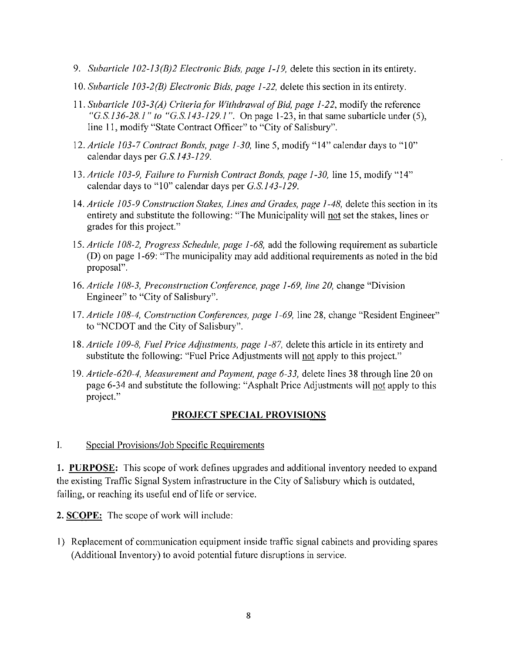- 9. Subarticle  $102-13(B)2$  Electronic Bids, page 1-19, delete this section in its entirety.
- 10. Subarticle 103-2(B) Electronic Bids, page 1-22, delete this section in its entirety.
- 11. Subarticle 103-3(A) Criteria for Withdrawal of Bid, page 1-22, modify the reference "G.S.136-28.1" to "G.S.143-129.1". On page 1-23, in that same subarticle under (5), line 11, modify "State Contract Officer" to "City of Salisbury".
- 12. Article 103-7 Contract Bonds, page 1-30, line 5, modify "14" calendar days to "10" calendar days per G.S.143-129.
- 13. Article 103-9, Failure to Furnish Contract Bonds, page 1-30, line 15, modify "14" calendar days to "10" calendar days per G.S.143-129.
- 14. Article 105-9 Construction Stakes, Lines and Grades, page 1-48, delete this section in its entirety and substitute the following: "The Municipality will not set the stakes, lines or grades for this project."
- 15. Article 108-2, Progress Schedule, page 1-68, add the following requirement as subarticle (D) on page 1-69: "The municipality may add additional requirements as noted in the bid proposal".
- 16. Article 108-3, Preconstruction Conference, page 1-69, line 20, change "Division" Engineer" to "City of Salisbury".
- 17. Article 108-4, Construction Conferences, page 1-69, line 28, change "Resident Engineer" to "NCDOT and the City of Salisbury".
- 18. Article 109-8, Fuel Price Adjustments, page 1-87, delete this article in its entirety and substitute the following: "Fuel Price Adjustments will not apply to this project."
- 19. Article-620-4, Measurement and Payment, page 6-33, delete lines 38 through line 20 on page 6-34 and substitute the following: "Asphalt Price Adjustments will not apply to this project."

### **PROJECT SPECIAL PROVISIONS**

#### $\mathbf{I}$ . Special Provisions/Job Specific Requirements

1. PURPOSE: This scope of work defines upgrades and additional inventory needed to expand the existing Traffic Signal System infrastructure in the City of Salisbury which is outdated, failing, or reaching its useful end of life or service.

2. SCOPE: The scope of work will include:

1) Replacement of communication equipment inside traffic signal cabinets and providing spares (Additional Inventory) to avoid potential future disruptions in service.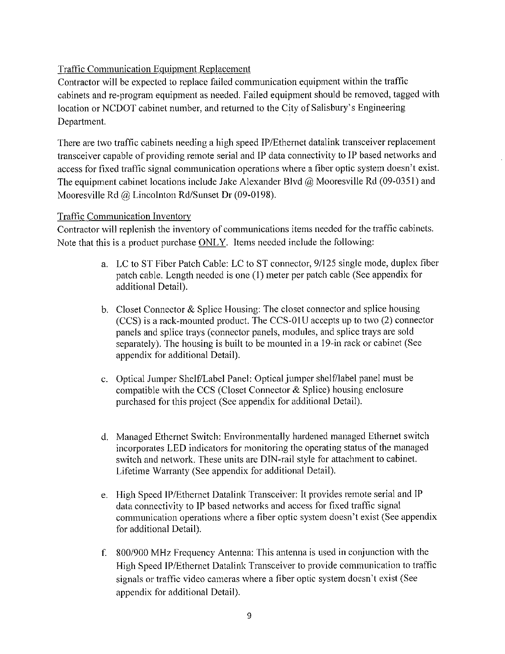### **Traffic Communication Equipment Replacement**

Contractor will be expected to replace failed communication equipment within the traffic cabinets and re-program equipment as needed. Failed equipment should be removed, tagged with location or NCDOT cabinet number, and returned to the City of Salisbury's Engineering Department.

There are two traffic cabinets needing a high speed IP/Ethernet datalink transceiver replacement transceiver capable of providing remote serial and IP data connectivity to IP based networks and access for fixed traffic signal communication operations where a fiber optic system doesn't exist. The equipment cabinet locations include Jake Alexander Blvd  $@$  Mooresville Rd (09-0351) and Mooresville Rd  $\omega$  Lincolnton Rd/Sunset Dr (09-0198).

### **Traffic Communication Inventory**

Contractor will replenish the inventory of communications items needed for the traffic cabinets. Note that this is a product purchase ONLY. Items needed include the following:

- a. LC to ST Fiber Patch Cable: LC to ST connector, 9/125 single mode, duplex fiber patch cable. Length needed is one (1) meter per patch cable (See appendix for additional Detail).
- b. Closet Connector & Splice Housing: The closet connector and splice housing (CCS) is a rack-mounted product. The CCS-01U accepts up to two (2) connector panels and splice trays (connector panels, modules, and splice trays are sold separately). The housing is built to be mounted in a 19-in rack or cabinet (See appendix for additional Detail).
- c. Optical Jumper Shelf/Label Panel: Optical jumper shelf/label panel must be compatible with the CCS (Closet Connector & Splice) housing enclosure purchased for this project (See appendix for additional Detail).
- d. Managed Ethernet Switch: Environmentally hardened managed Ethernet switch incorporates LED indicators for monitoring the operating status of the managed switch and network. These units are DIN-rail style for attachment to cabinet. Lifetime Warranty (See appendix for additional Detail).
- e. High Speed IP/Ethernet Datalink Transceiver: It provides remote serial and IP data connectivity to IP based networks and access for fixed traffic signal communication operations where a fiber optic system doesn't exist (See appendix for additional Detail).
- f. 800/900 MHz Frequency Antenna: This antenna is used in conjunction with the High Speed IP/Ethernet Datalink Transceiver to provide communication to traffic signals or traffic video cameras where a fiber optic system doesn't exist (See appendix for additional Detail).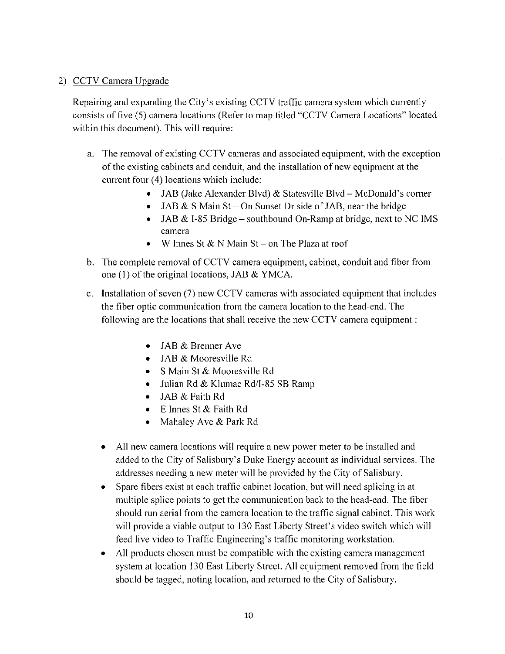### 2) CCTV Camera Upgrade

Repairing and expanding the City's existing CCTV traffic camera system which currently consists of five (5) camera locations (Refer to map titled "CCTV Camera Locations" located within this document). This will require:

- a. The removal of existing CCTV cameras and associated equipment, with the exception of the existing cabinets and conduit, and the installation of new equipment at the current four (4) locations which include:
	- JAB (Jake Alexander Blvd) & Statesville Blvd McDonald's corner
	- JAB & S Main St On Sunset Dr side of JAB, near the bridge
	- JAB & I-85 Bridge southbound On-Ramp at bridge, next to NC IMS camera
	- W Innes St & N Main St on The Plaza at roof
- b. The complete removal of CCTV camera equipment, cabinet, conduit and fiber from one (1) of the original locations, JAB & YMCA.
- c. Installation of seven (7) new CCTV cameras with associated equipment that includes the fiber optic communication from the camera location to the head-end. The following are the locations that shall receive the new CCTV camera equipment :
	- JAB & Brenner Ave
	- $\bullet$  JAB & Mooresville Rd
	- S Main St & Mooresville Rd
	- Julian Rd & Klumac Rd/I-85 SB Ramp
	- JAB & Faith Rd  $\bullet$
	- E Innes St & Faith Rd
	- Mahaley Ave & Park Rd
	- All new camera locations will require a new power meter to be installed and added to the City of Salisbury's Duke Energy account as individual services. The addresses needing a new meter will be provided by the City of Salisbury.
	- Spare fibers exist at each traffic cabinet location, but will need splicing in at multiple splice points to get the communication back to the head-end. The fiber should run aerial from the camera location to the traffic signal cabinet. This work will provide a viable output to 130 East Liberty Street's video switch which will feed live video to Traffic Engineering's traffic monitoring workstation.
	- All products chosen must be compatible with the existing camera management system at location 130 East Liberty Street. All equipment removed from the field should be tagged, noting location, and returned to the City of Salisbury.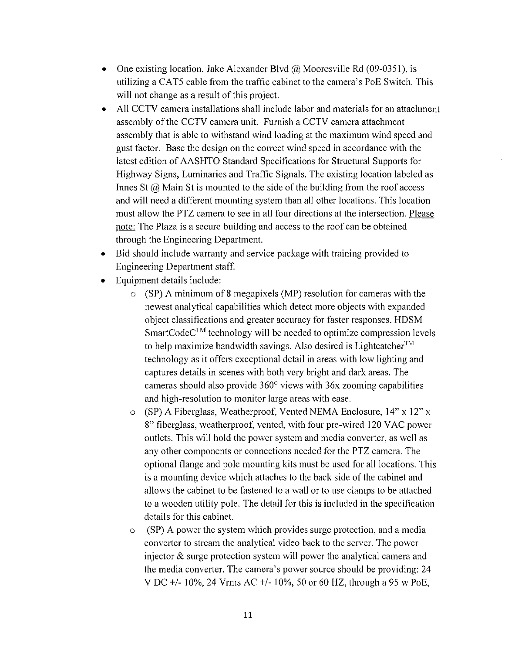- One existing location, Jake Alexander Blvd  $\omega$  Mooresville Rd (09-0351), is utilizing a CAT5 cable from the traffic cabinet to the camera's PoE Switch. This will not change as a result of this project.
- All CCTV camera installations shall include labor and materials for an attachment assembly of the CCTV camera unit. Furnish a CCTV camera attachment assembly that is able to withstand wind loading at the maximum wind speed and gust factor. Base the design on the correct wind speed in accordance with the latest edition of AASHTO Standard Specifications for Structural Supports for Highway Signs, Luminaries and Traffic Signals. The existing location labeled as Innes St  $(a)$  Main St is mounted to the side of the building from the roof access and will need a different mounting system than all other locations. This location must allow the PTZ camera to see in all four directions at the intersection. Please note: The Plaza is a secure building and access to the roof can be obtained through the Engineering Department.
- Bid should include warranty and service package with training provided to Engineering Department staff.
- Equipment details include:
	- $\circ$  (SP) A minimum of 8 megapixels (MP) resolution for cameras with the newest analytical capabilities which detect more objects with expanded object classifications and greater accuracy for faster responses. HDSM  $SmartCode<sup>TM</sup>$  technology will be needed to optimize compression levels to help maximize bandwidth savings. Also desired is Lightcatcher<sup>TM</sup> technology as it offers exceptional detail in areas with low lighting and captures details in scenes with both very bright and dark areas. The cameras should also provide  $360^{\circ}$  views with  $36x$  zooming capabilities and high-resolution to monitor large areas with ease.
	- o (SP) A Fiberglass, Weatherproof, Vented NEMA Enclosure,  $14$ " x  $12$ " x 8" fiberglass, weatherproof, vented, with four pre-wired 120 VAC power outlets. This will hold the power system and media converter, as well as any other components or connections needed for the PTZ camera. The optional flange and pole mounting kits must be used for all locations. This is a mounting device which attaches to the back side of the cabinet and allows the cabinet to be fastened to a wall or to use clamps to be attached to a wooden utility pole. The detail for this is included in the specification details for this cabinet.
	- (SP) A power the system which provides surge protection, and a media  $\circ$ converter to stream the analytical video back to the server. The power injector  $\&$  surge protection system will power the analytical camera and the media converter. The camera's power source should be providing: 24 V DC +/- 10%, 24 Vrms AC +/- 10%, 50 or 60 HZ, through a 95 w PoE,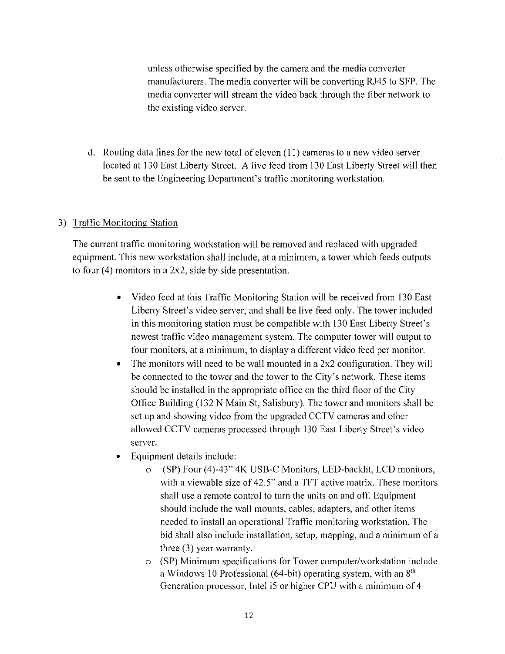unless otherwise specified by the camera and the media converter manufacturers. The media converter will be converting RJ45 to SFP. The media converter will stream the video back through the fiber network to the existing video server.

d. Routing data lines for the new total of eleven  $(11)$  cameras to a new video server located at 130 East Liberty Street. A live feed from 130 East Liberty Street will then be sent to the Engineering Department's traffic monitoring workstation.

### 3) Traffic Monitoring Station

The current traffic monitoring workstation will be removed and replaced with upgraded equipment. This new workstation shall include, at a minimum, a tower which feeds outputs to four  $(4)$  monitors in a 2x2, side by side presentation.

- Video feed at this Traffic Monitoring Station will be received from 130 East  $\bullet$ Liberty Street's video server, and shall be live feed only. The tower included in this monitoring station must be compatible with 130 East Liberty Street's newest traffic video management system. The computer tower will output to four monitors, at a minimum, to display a different video feed per monitor.
- The monitors will need to be wall mounted in a  $2x2$  configuration. They will  $\bullet$ be connected to the tower and the tower to the City's network. These items should be installed in the appropriate office on the third floor of the City Office Building (132 N Main St, Salisbury). The tower and monitors shall be set up and showing video from the upgraded CCTV cameras and other allowed CCTV cameras processed through 130 East Liberty Street's video server.
- Equipment details include:  $\bullet$ 
	- $\circ$ (SP) Four (4)-43" 4K USB-C Monitors, LED-backlit, LCD monitors, with a viewable size of 42.5" and a TFT active matrix. These monitors shall use a remote control to turn the units on and off. Equipment should include the wall mounts, cables, adapters, and other items needed to install an operational Traffic monitoring workstation. The bid shall also include installation, setup, mapping, and a minimum of a three  $(3)$  year warranty.
	- o (SP) Minimum specifications for Tower computer/workstation include a Windows 10 Professional (64-bit) operating system, with an 8<sup>th</sup> Generation processor, Intel i5 or higher CPU with a minimum of 4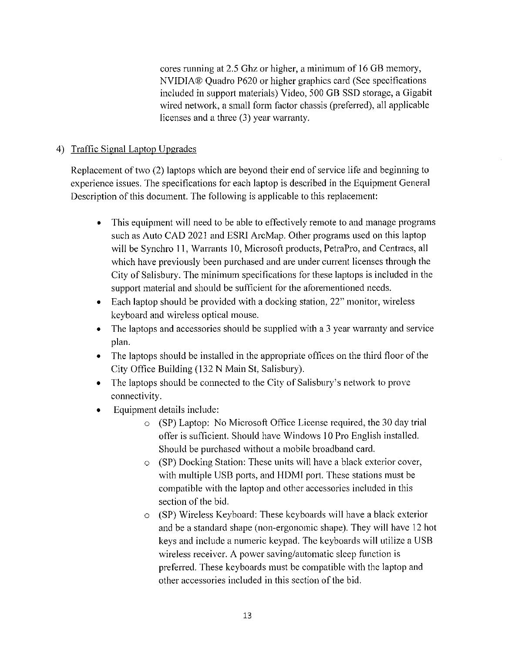cores running at 2.5 Ghz or higher, a minimum of 16 GB memory, NVIDIA® Quadro P620 or higher graphics card (See specifications included in support materials) Video, 500 GB SSD storage, a Gigabit wired network, a small form factor chassis (preferred), all applicable licenses and a three (3) year warranty.

### 4) Traffic Signal Laptop Upgrades

Replacement of two (2) laptops which are beyond their end of service life and beginning to experience issues. The specifications for each laptop is described in the Equipment General Description of this document. The following is applicable to this replacement:

- This equipment will need to be able to effectively remote to and manage programs  $\bullet$ such as Auto CAD 2021 and ESRI ArcMap. Other programs used on this laptop will be Synchro 11, Warrants 10, Microsoft products, PetraPro, and Centracs, all which have previously been purchased and are under current licenses through the City of Salisbury. The minimum specifications for these laptops is included in the support material and should be sufficient for the aforementioned needs.
- Each laptop should be provided with a docking station, 22" monitor, wireless keyboard and wireless optical mouse.
- $\bullet$  The laptops and accessories should be supplied with a 3 year warranty and service plan.
- The laptops should be installed in the appropriate offices on the third floor of the City Office Building (132 N Main St, Salisbury).
- The laptops should be connected to the City of Salisbury's network to prove connectivity.
- Equipment details include:  $\bullet$ 
	- $\circ$  (SP) Laptop: No Microsoft Office License required, the 30 day trial offer is sufficient. Should have Windows 10 Pro English installed. Should be purchased without a mobile broadband card.
	- o (SP) Docking Station: These units will have a black exterior cover, with multiple USB ports, and HDMI port. These stations must be compatible with the laptop and other accessories included in this section of the bid.
	- o (SP) Wireless Keyboard: These keyboards will have a black exterior and be a standard shape (non-ergonomic shape). They will have 12 hot keys and include a numeric keypad. The keyboards will utilize a USB wireless receiver. A power saving/automatic sleep function is preferred. These keyboards must be compatible with the laptop and other accessories included in this section of the bid.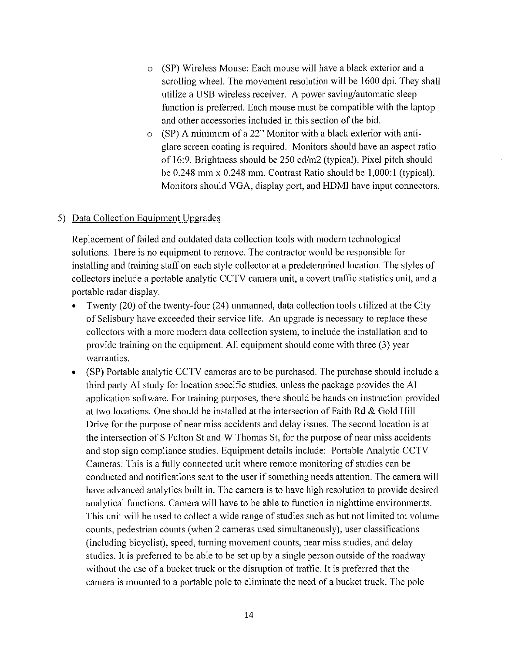- (SP) Wireless Mouse: Each mouse will have a black exterior and a  $\circ$ scrolling wheel. The movement resolution will be 1600 dpi. They shall utilize a USB wireless receiver. A power saving/automatic sleep function is preferred. Each mouse must be compatible with the laptop and other accessories included in this section of the bid.
- $\circ$  (SP) A minimum of a 22" Monitor with a black exterior with antiglare screen coating is required. Monitors should have an aspect ratio of 16:9. Brightness should be 250 cd/m2 (typical). Pixel pitch should be  $0.248$  mm x  $0.248$  mm. Contrast Ratio should be  $1,000:1$  (typical). Monitors should VGA, display port, and HDMI have input connectors.

#### 5) Data Collection Equipment Upgrades

Replacement of failed and outdated data collection tools with modern technological solutions. There is no equipment to remove. The contractor would be responsible for installing and training staff on each style collector at a predetermined location. The styles of collectors include a portable analytic CCTV camera unit, a covert traffic statistics unit, and a portable radar display.

- Twenty (20) of the twenty-four (24) unmanned, data collection tools utilized at the City of Salisbury have exceeded their service life. An upgrade is necessary to replace these collectors with a more modern data collection system, to include the installation and to provide training on the equipment. All equipment should come with three (3) year warranties.
- (SP) Portable analytic CCTV cameras are to be purchased. The purchase should include a  $\bullet$ third party AI study for location specific studies, unless the package provides the AI application software. For training purposes, there should be hands on instruction provided at two locations. One should be installed at the intersection of Faith Rd & Gold Hill Drive for the purpose of near miss accidents and delay issues. The second location is at the intersection of S Fulton St and W Thomas St, for the purpose of near miss accidents and stop sign compliance studies. Equipment details include: Portable Analytic CCTV Cameras: This is a fully connected unit where remote monitoring of studies can be conducted and notifications sent to the user if something needs attention. The camera will have advanced analytics built in. The camera is to have high resolution to provide desired analytical functions. Camera will have to be able to function in nighttime environments. This unit will be used to collect a wide range of studies such as but not limited to: volume counts, pedestrian counts (when 2 cameras used simultaneously), user classifications (including bicyclist), speed, turning movement counts, near miss studies, and delay studies. It is preferred to be able to be set up by a single person outside of the roadway without the use of a bucket truck or the disruption of traffic. It is preferred that the camera is mounted to a portable pole to eliminate the need of a bucket truck. The pole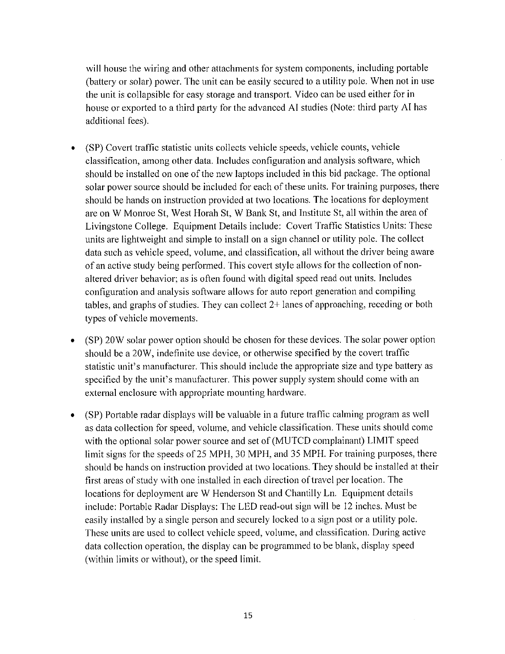will house the wiring and other attachments for system components, including portable (battery or solar) power. The unit can be easily secured to a utility pole. When not in use the unit is collapsible for easy storage and transport. Video can be used either for in house or exported to a third party for the advanced AI studies (Note: third party AI has additional fees).

- (SP) Covert traffic statistic units collects vehicle speeds, vehicle counts, vehicle  $\bullet$ classification, among other data. Includes configuration and analysis software, which should be installed on one of the new laptops included in this bid package. The optional solar power source should be included for each of these units. For training purposes, there should be hands on instruction provided at two locations. The locations for deployment are on W Monroe St, West Horah St, W Bank St, and Institute St, all within the area of Livingstone College. Equipment Details include: Covert Traffic Statistics Units: These units are lightweight and simple to install on a sign channel or utility pole. The collect data such as vehicle speed, volume, and classification, all without the driver being aware of an active study being performed. This covert style allows for the collection of nonaltered driver behavior; as is often found with digital speed read out units. Includes configuration and analysis software allows for auto report generation and compiling tables, and graphs of studies. They can collect  $2+$  lanes of approaching, receding or both types of vehicle movements.
- (SP) 20W solar power option should be chosen for these devices. The solar power option  $\bullet$ should be a 20W, indefinite use device, or otherwise specified by the covert traffic statistic unit's manufacturer. This should include the appropriate size and type battery as specified by the unit's manufacturer. This power supply system should come with an external enclosure with appropriate mounting hardware.
- (SP) Portable radar displays will be valuable in a future traffic calming program as well  $\bullet$ as data collection for speed, volume, and vehicle classification. These units should come with the optional solar power source and set of (MUTCD complainant) LIMIT speed limit signs for the speeds of 25 MPH, 30 MPH, and 35 MPH. For training purposes, there should be hands on instruction provided at two locations. They should be installed at their first areas of study with one installed in each direction of travel per location. The locations for deployment are W Henderson St and Chantilly Ln. Equipment details include: Portable Radar Displays: The LED read-out sign will be 12 inches. Must be easily installed by a single person and securely locked to a sign post or a utility pole. These units are used to collect vehicle speed, volume, and classification. During active data collection operation, the display can be programmed to be blank, display speed (within limits or without), or the speed limit.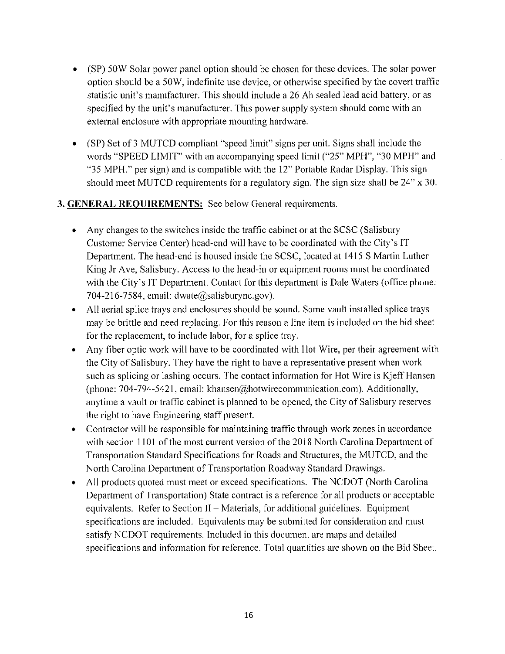- (SP) 50W Solar power panel option should be chosen for these devices. The solar power  $\bullet$ option should be a 50W, indefinite use device, or otherwise specified by the covert traffic statistic unit's manufacturer. This should include a 26 Ah sealed lead acid battery, or as specified by the unit's manufacturer. This power supply system should come with an external enclosure with appropriate mounting hardware.
- (SP) Set of 3 MUTCD compliant "speed limit" signs per unit. Signs shall include the  $\bullet$ words "SPEED LIMIT" with an accompanying speed limit ("25" MPH", "30 MPH" and "35 MPH." per sign) and is compatible with the 12" Portable Radar Display. This sign should meet MUTCD requirements for a regulatory sign. The sign size shall be 24" x 30.

### 3. GENERAL REQUIREMENTS: See below General requirements.

- Any changes to the switches inside the traffic cabinet or at the SCSC (Salisbury Customer Service Center) head-end will have to be coordinated with the City's IT Department. The head-end is housed inside the SCSC, located at 1415 S Martin Luther King Jr Ave, Salisbury. Access to the head-in or equipment rooms must be coordinated with the City's IT Department. Contact for this department is Dale Waters (office phone: 704-216-7584, email: dwate@salisburync.gov).
- All aerial splice trays and enclosures should be sound. Some vault installed splice trays  $\bullet$ may be brittle and need replacing. For this reason a line item is included on the bid sheet for the replacement, to include labor, for a splice tray.
- Any fiber optic work will have to be coordinated with Hot Wire, per their agreement with the City of Salisbury. They have the right to have a representative present when work such as splicing or lashing occurs. The contact information for Hot Wire is Kjeff Hansen (phone: 704-794-5421, email: khansen@hotwirecommunication.com). Additionally, anytime a vault or traffic cabinet is planned to be opened, the City of Salisbury reserves the right to have Engineering staff present.
- Contractor will be responsible for maintaining traffic through work zones in accordance with section 1101 of the most current version of the 2018 North Carolina Department of Transportation Standard Specifications for Roads and Structures, the MUTCD, and the North Carolina Department of Transportation Roadway Standard Drawings.
- All products quoted must meet or exceed specifications. The NCDOT (North Carolina  $\bullet$ Department of Transportation) State contract is a reference for all products or acceptable equivalents. Refer to Section II – Materials, for additional guidelines. Equipment specifications are included. Equivalents may be submitted for consideration and must satisfy NCDOT requirements. Included in this document are maps and detailed specifications and information for reference. Total quantities are shown on the Bid Sheet.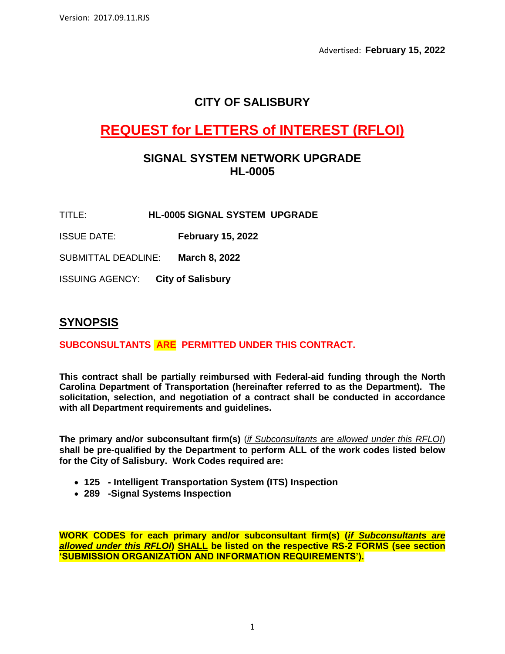Advertised: **February 15, 2022**

# **CITY OF SALISBURY**

# **REQUEST for LETTERS of INTEREST (RFLOI)**

### **SIGNAL SYSTEM NETWORK UPGRADE HL-0005**

- TITLE: **HL-0005 SIGNAL SYSTEM UPGRADE**
- ISSUE DATE: **February 15, 2022**

SUBMITTAL DEADLINE: **March 8, 2022**

ISSUING AGENCY: **City of Salisbury**

### **SYNOPSIS**

### **SUBCONSULTANTS ARE PERMITTED UNDER THIS CONTRACT.**

**This contract shall be partially reimbursed with Federal-aid funding through the North Carolina Department of Transportation (hereinafter referred to as the Department). The solicitation, selection, and negotiation of a contract shall be conducted in accordance with all Department requirements and guidelines.**

**The primary and/or subconsultant firm(s)** (*if Subconsultants are allowed under this RFLOI*) **shall be pre-qualified by the Department to perform ALL of the work codes listed below for the City of Salisbury. Work Codes required are:**

- **125 - Intelligent Transportation System (ITS) Inspection**
- **289 -Signal Systems Inspection**

**WORK CODES for each primary and/or subconsultant firm(s) (***if Subconsultants are allowed under this RFLOI***) SHALL be listed on the respective RS-2 FORMS (see section 'SUBMISSION ORGANIZATION AND INFORMATION REQUIREMENTS').**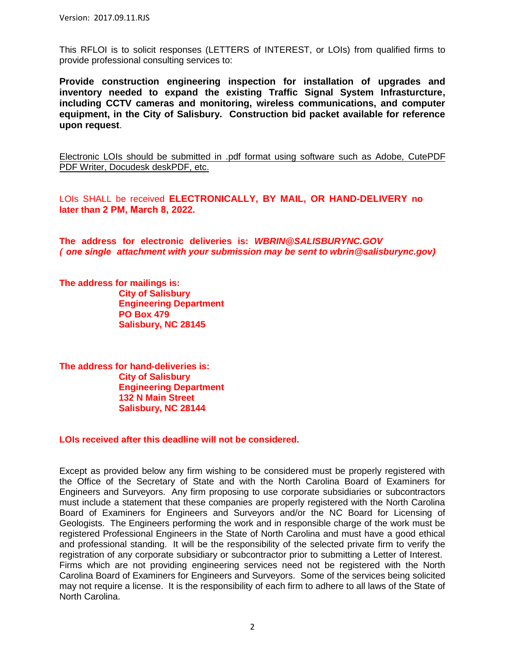This RFLOI is to solicit responses (LETTERS of INTEREST, or LOIs) from qualified firms to provide professional consulting services to:

**Provide construction engineering inspection for installation of upgrades and inventory needed to expand the existing Traffic Signal System Infrasturcture, including CCTV cameras and monitoring, wireless communications, and computer equipment, in the City of Salisbury. Construction bid packet available for reference upon request**.

Electronic LOIs should be submitted in .pdf format using software such as Adobe, CutePDF PDF Writer, Docudesk deskPDF, etc.

LOIs SHALL be received **ELECTRONICALLY, BY MAIL, OR HAND-DELIVERY no later than 2 PM, March 8, 2022.** 

**The address for electronic deliveries is:** *WBRIN@SALISBURYNC.GOV ( one single attachment with your submission may be sent to wbrin@salisburync.gov)*

**The address for mailings is: City of Salisbury Engineering Department PO Box 479 Salisbury, NC 28145**

**The address for hand-deliveries is: City of Salisbury Engineering Department 132 N Main Street Salisbury, NC 28144**

**LOIs received after this deadline will not be considered.**

Except as provided below any firm wishing to be considered must be properly registered with the Office of the Secretary of State and with the North Carolina Board of Examiners for Engineers and Surveyors. Any firm proposing to use corporate subsidiaries or subcontractors must include a statement that these companies are properly registered with the North Carolina Board of Examiners for Engineers and Surveyors and/or the NC Board for Licensing of Geologists. The Engineers performing the work and in responsible charge of the work must be registered Professional Engineers in the State of North Carolina and must have a good ethical and professional standing. It will be the responsibility of the selected private firm to verify the registration of any corporate subsidiary or subcontractor prior to submitting a Letter of Interest. Firms which are not providing engineering services need not be registered with the North Carolina Board of Examiners for Engineers and Surveyors. Some of the services being solicited may not require a license. It is the responsibility of each firm to adhere to all laws of the State of North Carolina.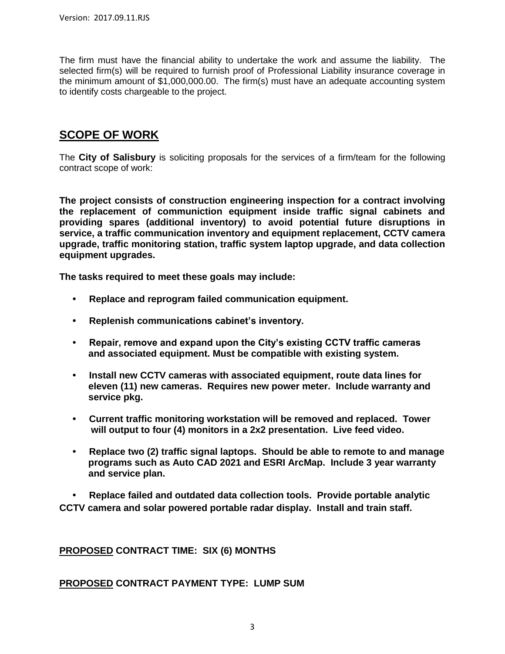The firm must have the financial ability to undertake the work and assume the liability. The selected firm(s) will be required to furnish proof of Professional Liability insurance coverage in the minimum amount of \$1,000,000.00. The firm(s) must have an adequate accounting system to identify costs chargeable to the project.

# **SCOPE OF WORK**

The **City of Salisbury** is soliciting proposals for the services of a firm/team for the following contract scope of work:

**The project consists of construction engineering inspection for a contract involving the replacement of communiction equipment inside traffic signal cabinets and providing spares (additional inventory) to avoid potential future disruptions in service, a traffic communication inventory and equipment replacement, CCTV camera upgrade, traffic monitoring station, traffic system laptop upgrade, and data collection equipment upgrades.** 

**The tasks required to meet these goals may include:**

- **Replace and reprogram failed communication equipment.**
- **Replenish communications cabinet's inventory.**
- **Repair, remove and expand upon the City's existing CCTV traffic cameras and associated equipment. Must be compatible with existing system.**
- **Install new CCTV cameras with associated equipment, route data lines for eleven (11) new cameras. Requires new power meter. Include warranty and service pkg.**
- **Current traffic monitoring workstation will be removed and replaced. Tower will output to four (4) monitors in a 2x2 presentation. Live feed video.**
- **Replace two (2) traffic signal laptops. Should be able to remote to and manage programs such as Auto CAD 2021 and ESRI ArcMap. Include 3 year warranty and service plan.**

 **• Replace failed and outdated data collection tools. Provide portable analytic CCTV camera and solar powered portable radar display. Install and train staff.**

**PROPOSED CONTRACT TIME: SIX (6) MONTHS**

**PROPOSED CONTRACT PAYMENT TYPE: LUMP SUM**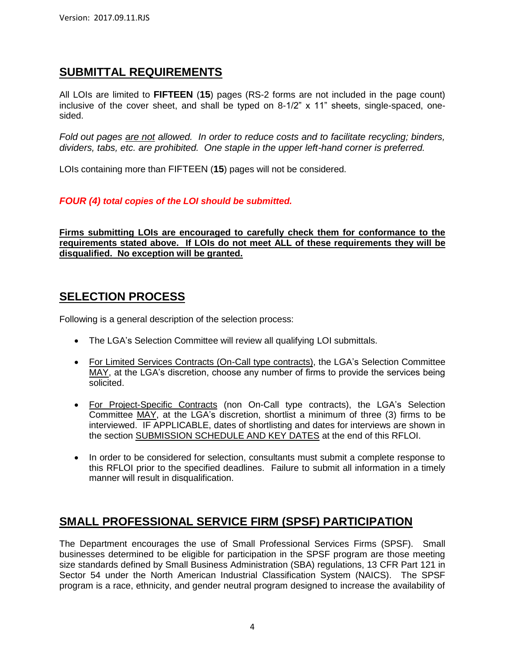# **SUBMITTAL REQUIREMENTS**

All LOIs are limited to **FIFTEEN** (**15**) pages (RS-2 forms are not included in the page count) inclusive of the cover sheet, and shall be typed on 8-1/2" x 11" sheets, single-spaced, onesided.

*Fold out pages are not allowed. In order to reduce costs and to facilitate recycling; binders, dividers, tabs, etc. are prohibited. One staple in the upper left-hand corner is preferred.*

LOIs containing more than FIFTEEN (**15**) pages will not be considered.

#### *FOUR (4) total copies of the LOI should be submitted.*

**Firms submitting LOIs are encouraged to carefully check them for conformance to the requirements stated above. If LOIs do not meet ALL of these requirements they will be disqualified. No exception will be granted.**

### **SELECTION PROCESS**

Following is a general description of the selection process:

- The LGA's Selection Committee will review all qualifying LOI submittals.
- For Limited Services Contracts (On-Call type contracts), the LGA's Selection Committee MAY, at the LGA's discretion, choose any number of firms to provide the services being solicited.
- For Project-Specific Contracts (non On-Call type contracts), the LGA's Selection Committee MAY, at the LGA's discretion, shortlist a minimum of three (3) firms to be interviewed. IF APPLICABLE, dates of shortlisting and dates for interviews are shown in the section SUBMISSION SCHEDULE AND KEY DATES at the end of this RFLOI.
- In order to be considered for selection, consultants must submit a complete response to this RFLOI prior to the specified deadlines. Failure to submit all information in a timely manner will result in disqualification.

# **SMALL PROFESSIONAL SERVICE FIRM (SPSF) PARTICIPATION**

The Department encourages the use of Small Professional Services Firms (SPSF). Small businesses determined to be eligible for participation in the SPSF program are those meeting size standards defined by Small Business Administration (SBA) regulations, 13 CFR Part 121 in Sector 54 under the North American Industrial Classification System (NAICS). The SPSF program is a race, ethnicity, and gender neutral program designed to increase the availability of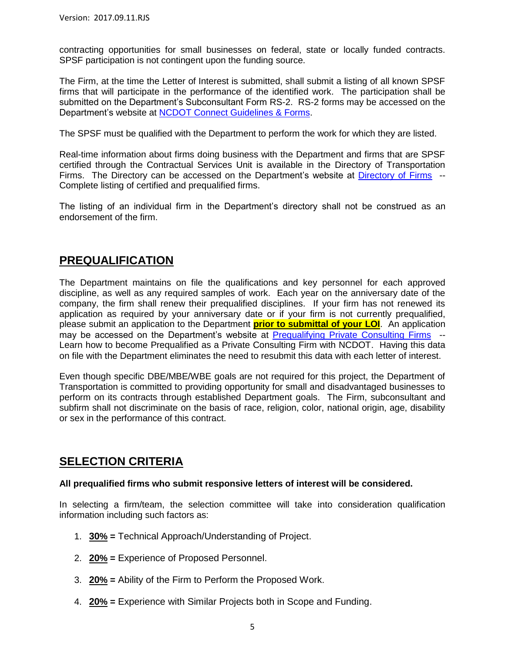contracting opportunities for small businesses on federal, state or locally funded contracts. SPSF participation is not contingent upon the funding source.

The Firm, at the time the Letter of Interest is submitted, shall submit a listing of all known SPSF firms that will participate in the performance of the identified work. The participation shall be submitted on the Department's Subconsultant Form RS-2. RS-2 forms may be accessed on the Department's website at [NCDOT Connect Guidelines & Forms.](https://connect.ncdot.gov/business/consultants/Pages/Guidelines-Forms.aspx)

The SPSF must be qualified with the Department to perform the work for which they are listed.

Real-time information about firms doing business with the Department and firms that are SPSF certified through the Contractual Services Unit is available in the Directory of Transportation Firms. The Directory can be accessed on the Department's website at [Directory of Firms](https://www.ebs.nc.gov/VendorDirectory/default.html) -- Complete listing of certified and prequalified firms.

The listing of an individual firm in the Department's directory shall not be construed as an endorsement of the firm.

### **PREQUALIFICATION**

The Department maintains on file the qualifications and key personnel for each approved discipline, as well as any required samples of work. Each year on the anniversary date of the company, the firm shall renew their prequalified disciplines. If your firm has not renewed its application as required by your anniversary date or if your firm is not currently prequalified, please submit an application to the Department **prior to submittal of your LOI**. An application may be accessed on the Department's website at [Prequalifying Private Consulting Firms](https://connect.ncdot.gov/business/Prequal/Pages/Private-Consulting-Firm.aspx) --Learn how to become Prequalified as a Private Consulting Firm with NCDOT. Having this data on file with the Department eliminates the need to resubmit this data with each letter of interest.

Even though specific DBE/MBE/WBE goals are not required for this project, the Department of Transportation is committed to providing opportunity for small and disadvantaged businesses to perform on its contracts through established Department goals. The Firm, subconsultant and subfirm shall not discriminate on the basis of race, religion, color, national origin, age, disability or sex in the performance of this contract.

### **SELECTION CRITERIA**

#### **All prequalified firms who submit responsive letters of interest will be considered.**

In selecting a firm/team, the selection committee will take into consideration qualification information including such factors as:

- 1. **30% =** Technical Approach/Understanding of Project.
- 2. **20% =** Experience of Proposed Personnel.
- 3. **20% =** Ability of the Firm to Perform the Proposed Work.
- 4. **20% =** Experience with Similar Projects both in Scope and Funding.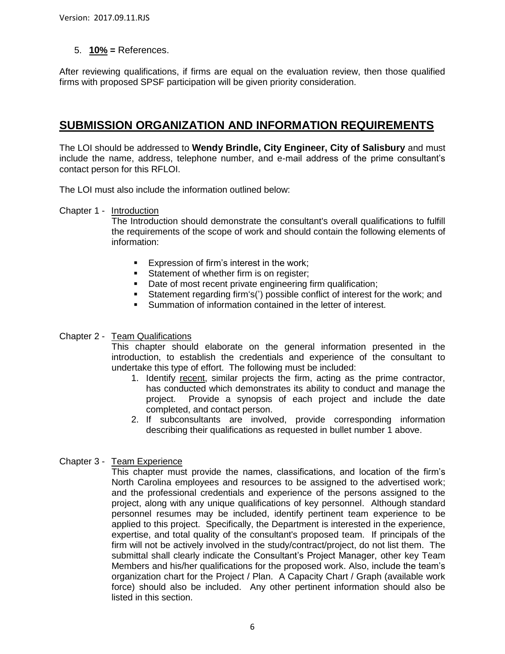5. **10% =** References.

After reviewing qualifications, if firms are equal on the evaluation review, then those qualified firms with proposed SPSF participation will be given priority consideration.

# **SUBMISSION ORGANIZATION AND INFORMATION REQUIREMENTS**

The LOI should be addressed to **Wendy Brindle, City Engineer, City of Salisbury** and must include the name, address, telephone number, and e-mail address of the prime consultant's contact person for this RFLOI.

The LOI must also include the information outlined below:

Chapter 1 - Introduction

The Introduction should demonstrate the consultant's overall qualifications to fulfill the requirements of the scope of work and should contain the following elements of information:

- **Expression of firm's interest in the work;**
- Statement of whether firm is on register:
- Date of most recent private engineering firm qualification;
- Statement regarding firm's(') possible conflict of interest for the work; and
- Summation of information contained in the letter of interest.

#### Chapter 2 - Team Qualifications

This chapter should elaborate on the general information presented in the introduction, to establish the credentials and experience of the consultant to undertake this type of effort. The following must be included:

- 1. Identify recent, similar projects the firm, acting as the prime contractor, has conducted which demonstrates its ability to conduct and manage the project. Provide a synopsis of each project and include the date completed, and contact person.
- 2. If subconsultants are involved, provide corresponding information describing their qualifications as requested in bullet number 1 above.

### Chapter 3 - Team Experience

This chapter must provide the names, classifications, and location of the firm's North Carolina employees and resources to be assigned to the advertised work; and the professional credentials and experience of the persons assigned to the project, along with any unique qualifications of key personnel. Although standard personnel resumes may be included, identify pertinent team experience to be applied to this project. Specifically, the Department is interested in the experience, expertise, and total quality of the consultant's proposed team. If principals of the firm will not be actively involved in the study/contract/project, do not list them. The submittal shall clearly indicate the Consultant's Project Manager, other key Team Members and his/her qualifications for the proposed work. Also, include the team's organization chart for the Project / Plan. A Capacity Chart / Graph (available work force) should also be included. Any other pertinent information should also be listed in this section.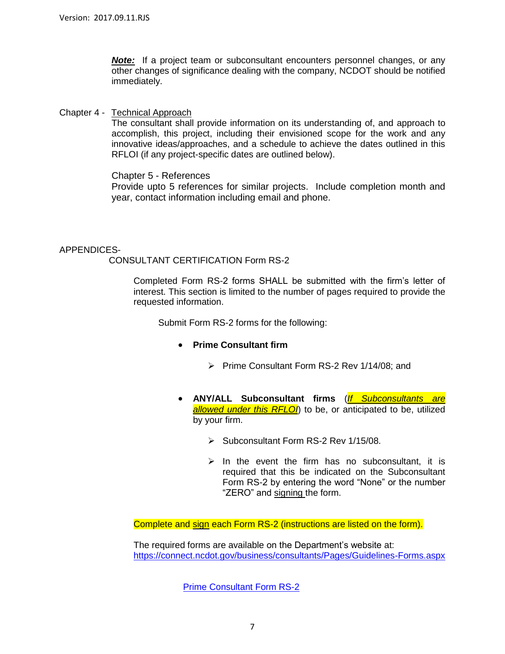*Note:* If a project team or subconsultant encounters personnel changes, or any other changes of significance dealing with the company, NCDOT should be notified immediately.

#### Chapter 4 - Technical Approach

The consultant shall provide information on its understanding of, and approach to accomplish, this project, including their envisioned scope for the work and any innovative ideas/approaches, and a schedule to achieve the dates outlined in this RFLOI (if any project-specific dates are outlined below).

#### Chapter 5 - References

Provide upto 5 references for similar projects. Include completion month and year, contact information including email and phone.

#### APPENDICES-

#### CONSULTANT CERTIFICATION Form RS-2

Completed Form RS-2 forms SHALL be submitted with the firm's letter of interest. This section is limited to the number of pages required to provide the requested information.

Submit Form RS-2 forms for the following:

#### **Prime Consultant firm**

- $\triangleright$  Prime Consultant Form RS-2 Rev 1/14/08; and
- **ANY/ALL Subconsultant firms** (*If Subconsultants are allowed under this RFLOI*) to be, or anticipated to be, utilized by your firm.
	- $\triangleright$  Subconsultant Form RS-2 Rev 1/15/08.
	- $\triangleright$  In the event the firm has no subconsultant, it is required that this be indicated on the Subconsultant Form RS-2 by entering the word "None" or the number "ZERO" and signing the form.

Complete and sign each Form RS-2 (instructions are listed on the form).

The required forms are available on the Department's website at: <https://connect.ncdot.gov/business/consultants/Pages/Guidelines-Forms.aspx>

[Prime Consultant Form RS-2](https://connect.ncdot.gov/business/consultants/Roadway/Form%20RS-2%20Prime%20Contractor.pdf)